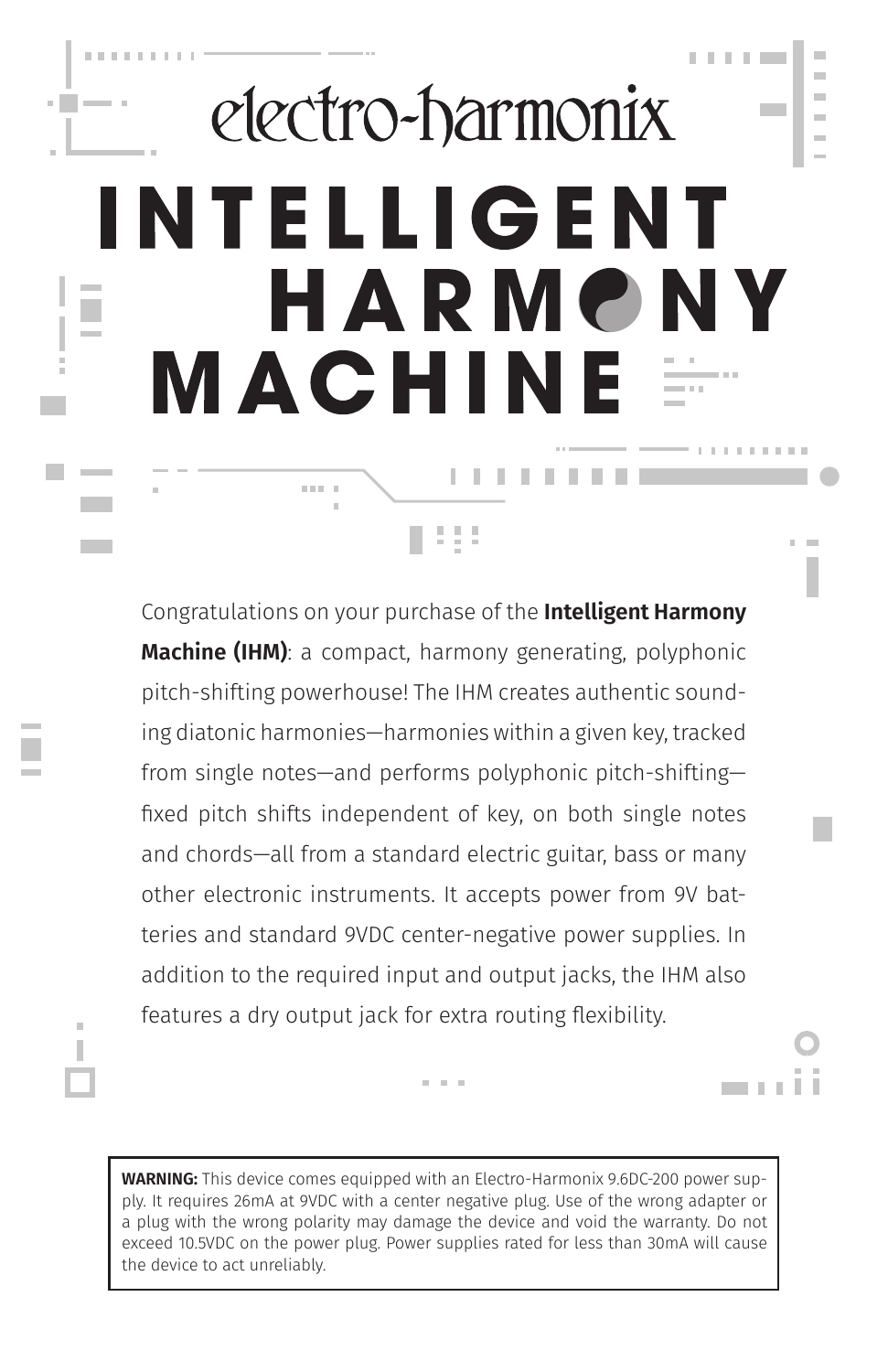## electro-harmonix INTELLIGENT HARMONY MACHIN **. . . . . . . . .**  $\mathbb{R}^n \times \mathbb{R}^n \to \mathbb{R}$

 $\sim$ 

. . . .

×

÷

a an

**Contract Contract** 

**THE REPORT** 

m,

Congratulations on your purchase of the **Intelligent Harmony Machine (IHM)**: a compact, harmony generating, polyphonic pitch-shifting powerhouse! The IHM creates authentic sounding diatonic harmonies—harmonies within a given key, tracked from single notes—and performs polyphonic pitch-shifting fixed pitch shifts independent of key, on both single notes and chords—all from a standard electric guitar, bass or many other electronic instruments. It accepts power from 9V batteries and standard 9VDC center-negative power supplies. In addition to the required input and output jacks, the IHM also features a dry output jack for extra routing flexibility.

151

**WARNING:** This device comes equipped with an Electro-Harmonix 9.6DC-200 power supply. It requires 26mA at 9VDC with a center negative plug. Use of the wrong adapter or a plug with the wrong polarity may damage the device and void the warranty. Do not exceed 10.5VDC on the power plug. Power supplies rated for less than 30mA will cause the device to act unreliably.

**CONTRACTOR**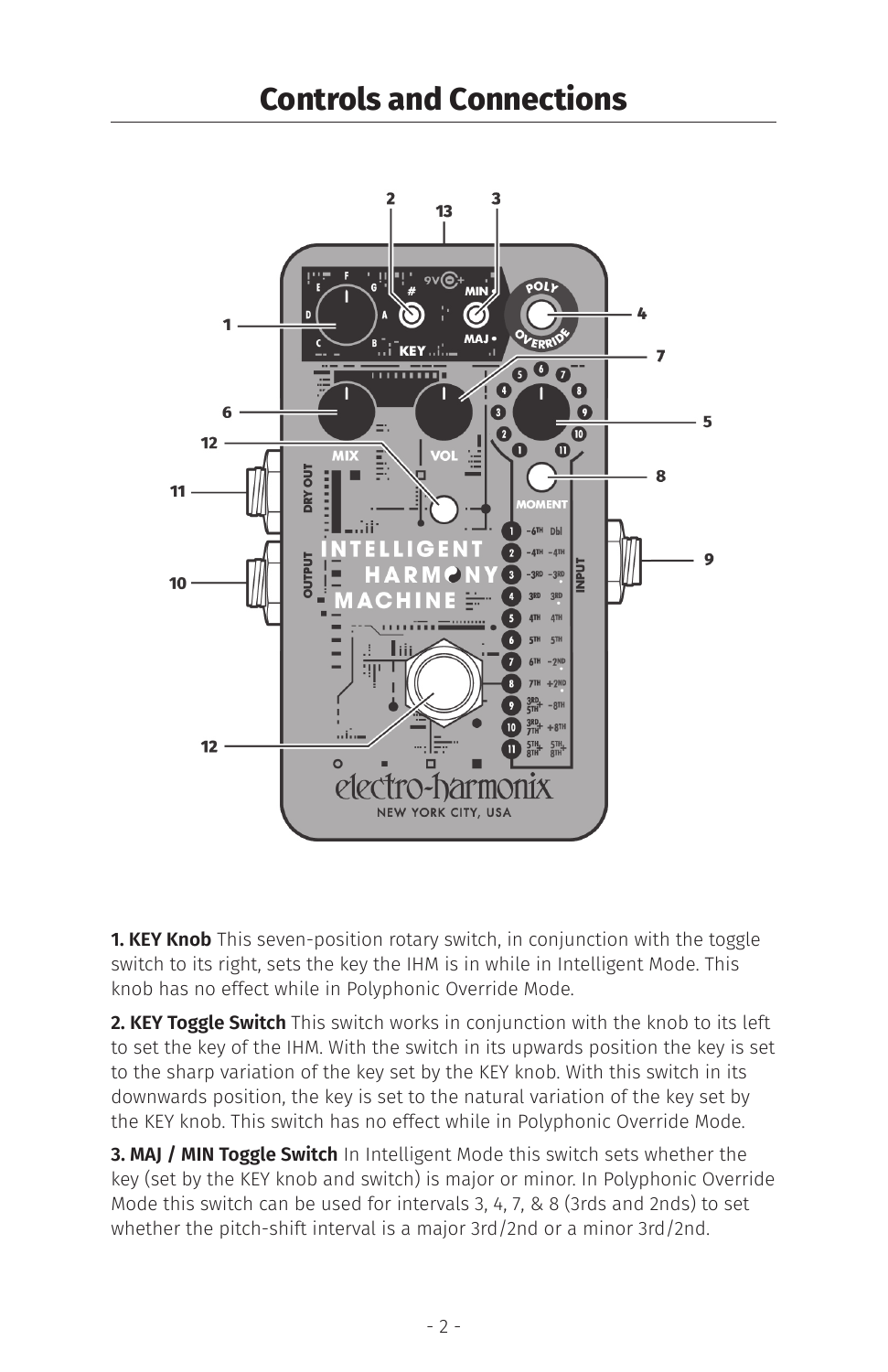

**1. KEY Knob** This seven-position rotary switch, in conjunction with the toggle switch to its right, sets the key the IHM is in while in Intelligent Mode. This knob has no effect while in Polyphonic Override Mode.

**2. KEY Toggle Switch** This switch works in conjunction with the knob to its left to set the key of the IHM. With the switch in its upwards position the key is set to the sharp variation of the key set by the KEY knob. With this switch in its downwards position, the key is set to the natural variation of the key set by the KEY knob. This switch has no effect while in Polyphonic Override Mode.

**3. MAJ / MIN Toggle Switch** In Intelligent Mode this switch sets whether the key (set by the KEY knob and switch) is major or minor. In Polyphonic Override Mode this switch can be used for intervals 3, 4, 7, & 8 (3rds and 2nds) to set whether the pitch-shift interval is a major 3rd/2nd or a minor 3rd/2nd.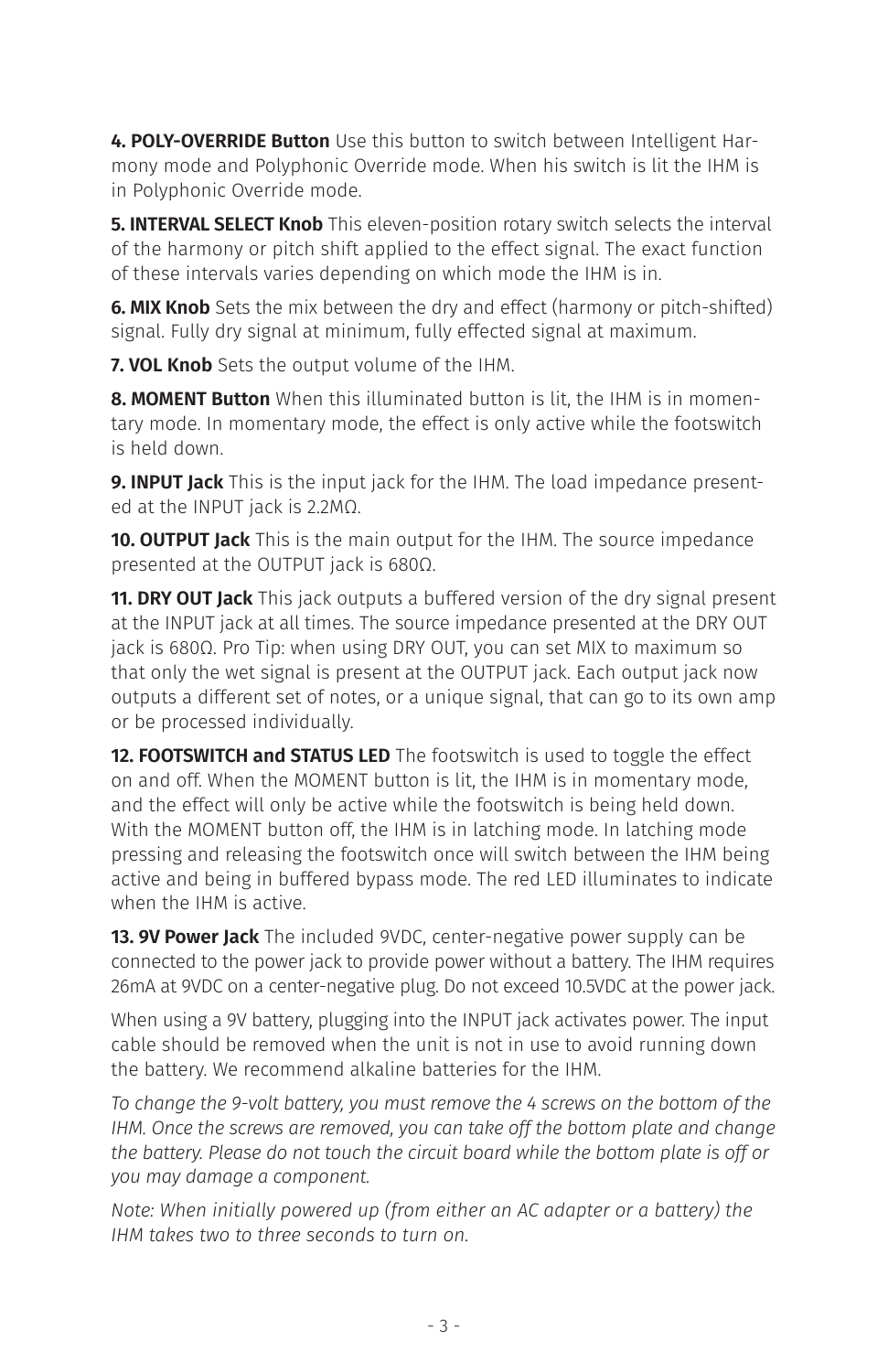**4. POLY-OVERRIDE Button** Use this button to switch between Intelligent Harmony mode and Polyphonic Override mode. When his switch is lit the IHM is in Polyphonic Override mode.

**5. INTERVAL SELECT Knob** This eleven-position rotary switch selects the interval of the harmony or pitch shift applied to the effect signal. The exact function of these intervals varies depending on which mode the IHM is in.

**6. MIX Knob** Sets the mix between the dry and effect (harmony or pitch-shifted) signal. Fully dry signal at minimum, fully effected signal at maximum.

**7. VOL Knob** Sets the output volume of the IHM.

**8. MOMENT Button** When this illuminated button is lit, the IHM is in momentary mode. In momentary mode, the effect is only active while the footswitch is held down.

**9. INPUT Jack** This is the input jack for the IHM. The load impedance presented at the INPUT jack is 2.2MΩ.

**10. OUTPUT Jack** This is the main output for the IHM. The source impedance presented at the OUTPUT jack is 680Ω.

**11. DRY OUT Jack** This jack outputs a buffered version of the dry signal present at the INPUT jack at all times. The source impedance presented at the DRY OUT jack is 680Ω. Pro Tip: when using DRY OUT, you can set MIX to maximum so that only the wet signal is present at the OUTPUT jack. Each output jack now outputs a different set of notes, or a unique signal, that can go to its own amp or be processed individually.

**12. FOOTSWITCH and STATUS LED** The footswitch is used to toggle the effect on and off. When the MOMENT button is lit, the IHM is in momentary mode, and the effect will only be active while the footswitch is being held down. With the MOMENT button off, the IHM is in latching mode. In latching mode pressing and releasing the footswitch once will switch between the IHM being active and being in buffered bypass mode. The red LED illuminates to indicate when the IHM is active.

**13. 9V Power Jack** The included 9VDC, center-negative power supply can be connected to the power jack to provide power without a battery. The IHM requires 26mA at 9VDC on a center-negative plug. Do not exceed 10.5VDC at the power jack.

When using a 9V battery, plugging into the INPUT jack activates power. The input cable should be removed when the unit is not in use to avoid running down the battery. We recommend alkaline batteries for the IHM.

*To change the 9-volt battery, you must remove the 4 screws on the bottom of the IHM. Once the screws are removed, you can take off the bottom plate and change the battery. Please do not touch the circuit board while the bottom plate is off or you may damage a component.*

*Note: When initially powered up (from either an AC adapter or a battery) the IHM takes two to three seconds to turn on.*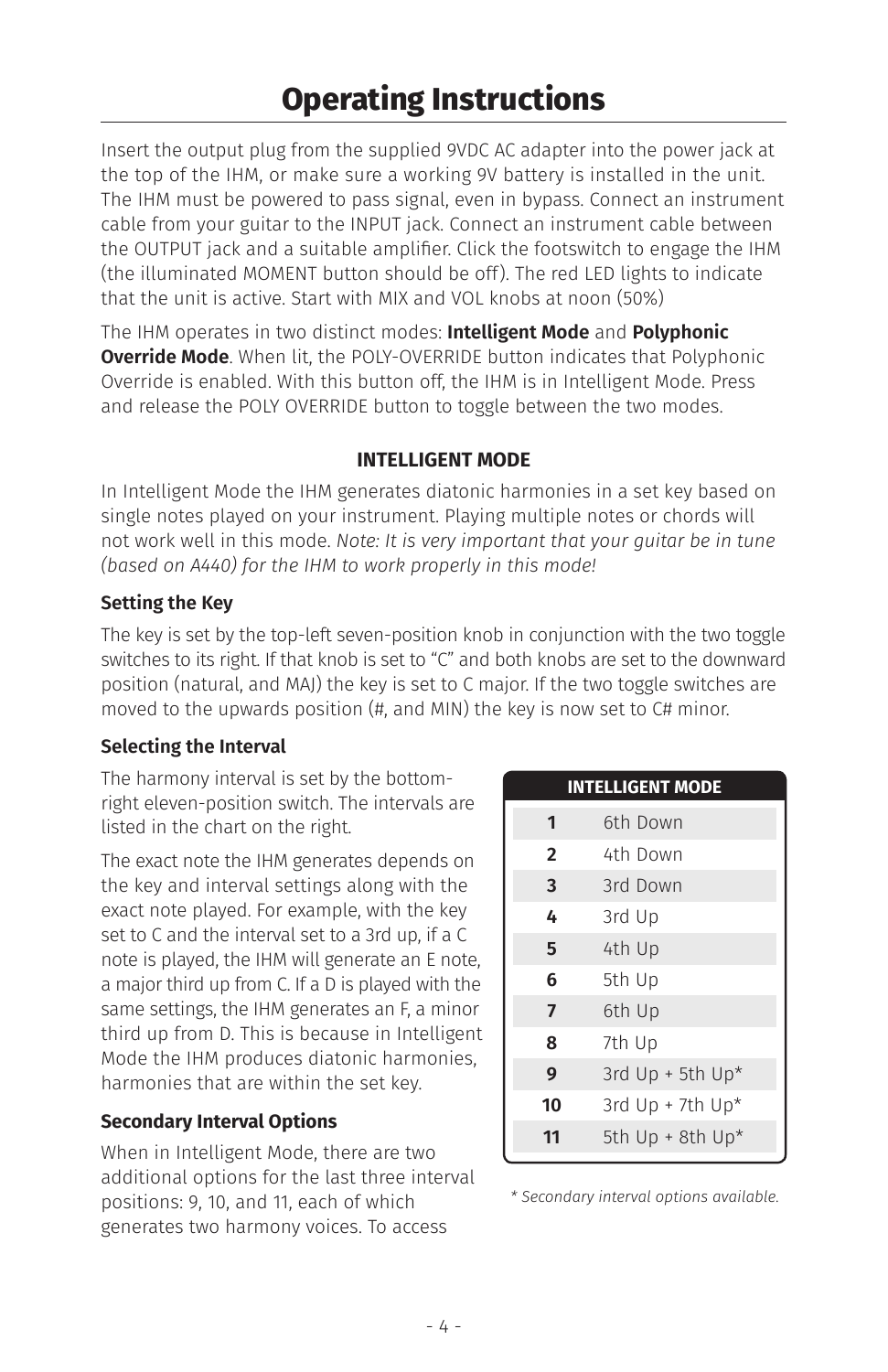Insert the output plug from the supplied 9VDC AC adapter into the power jack at the top of the IHM, or make sure a working 9V battery is installed in the unit. The IHM must be powered to pass signal, even in bypass. Connect an instrument cable from your guitar to the INPUT jack. Connect an instrument cable between the OUTPUT jack and a suitable amplifier. Click the footswitch to engage the IHM (the illuminated MOMENT button should be off). The red LED lights to indicate that the unit is active. Start with MIX and VOL knobs at noon (50%)

The IHM operates in two distinct modes: **Intelligent Mode** and **Polyphonic Override Mode**. When lit, the POLY-OVERRIDE button indicates that Polyphonic Override is enabled. With this button off, the IHM is in Intelligent Mode. Press and release the POLY OVERRIDE button to toggle between the two modes.

## **INTELLIGENT MODE**

In Intelligent Mode the IHM generates diatonic harmonies in a set key based on single notes played on your instrument. Playing multiple notes or chords will not work well in this mode. *Note: It is very important that your guitar be in tune (based on A440) for the IHM to work properly in this mode!* 

## **Setting the Key**

The key is set by the top-left seven-position knob in conjunction with the two toggle switches to its right. If that knob is set to "C" and both knobs are set to the downward position (natural, and MAJ) the key is set to C major. If the two toggle switches are moved to the upwards position (#, and MIN) the key is now set to C# minor.

## **Selecting the Interval**

The harmony interval is set by the bottomright eleven-position switch. The intervals are listed in the chart on the right.

The exact note the IHM generates depends on the key and interval settings along with the exact note played. For example, with the key set to C and the interval set to a 3rd up, if a C note is played, the IHM will generate an E note, a major third up from C. If a D is played with the same settings, the IHM generates an F, a minor third up from D. This is because in Intelligent Mode the IHM produces diatonic harmonies, harmonies that are within the set key.

## **Secondary Interval Options**

When in Intelligent Mode, there are two additional options for the last three interval positions: 9, 10, and 11, each of which generates two harmony voices. To access

|                | <b>INTELLIGENT MODE</b> |
|----------------|-------------------------|
| 1              | 6th Down                |
| $\overline{2}$ | 4th Down                |
| 3              | 3rd Down                |
| 4              | 3rd Up                  |
| 5              | 4th Up                  |
| 6              | 5th Up                  |
| $\overline{7}$ | 6th Up                  |
| 8              | 7th Up                  |
| 9              | 3rd Up + 5th Up*        |
| 10             | 3rd $Up + 7th Up*$      |
| 11             | 5th Up + 8th Up*        |

*\* Secondary interval options available.*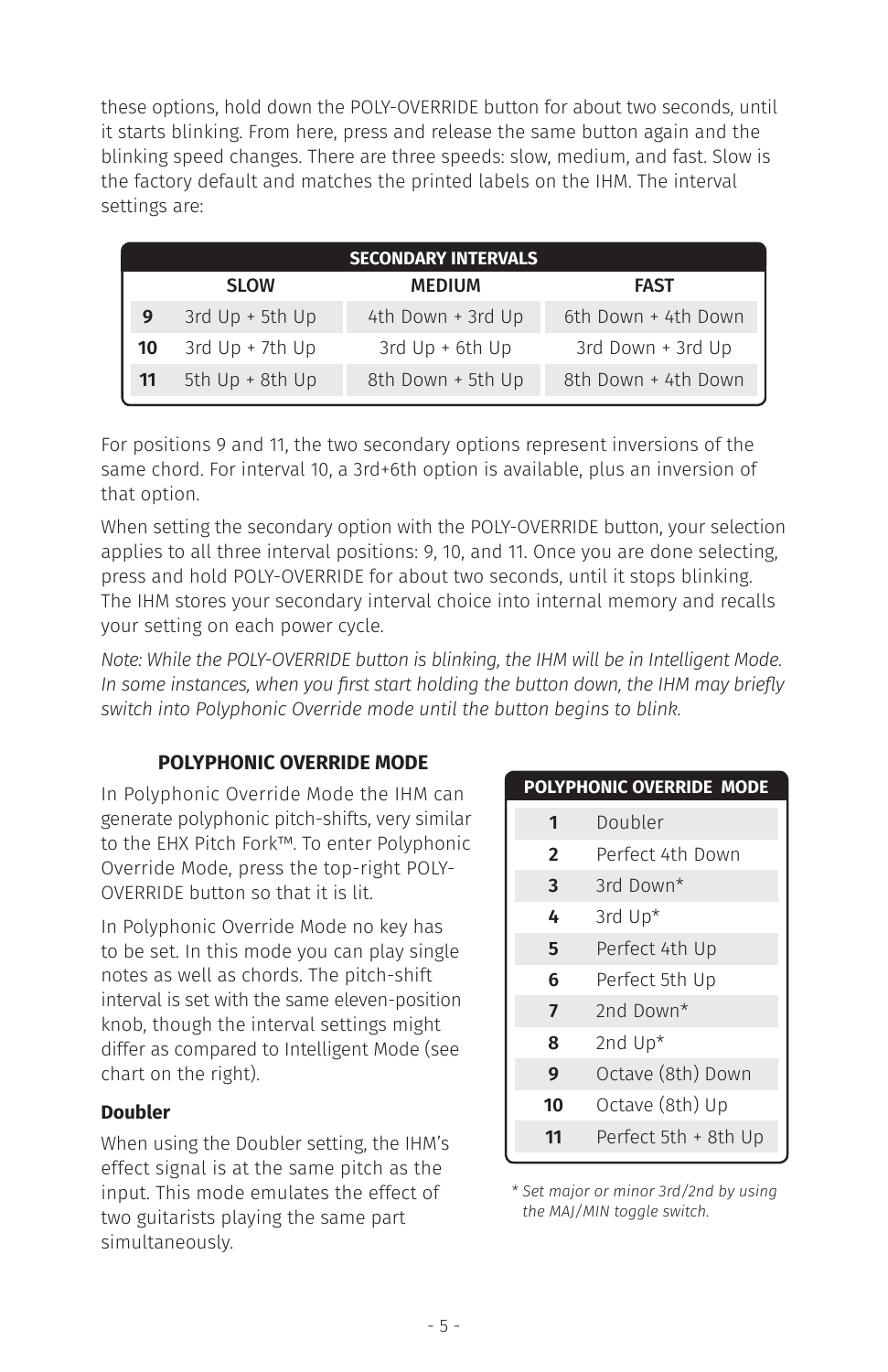these options, hold down the POLY-OVERRIDE button for about two seconds, until it starts blinking. From here, press and release the same button again and the blinking speed changes. There are three speeds: slow, medium, and fast. Slow is the factory default and matches the printed labels on the IHM. The interval settings are:

| <b>SECONDARY INTERVALS</b> |                   |                   |                     |  |
|----------------------------|-------------------|-------------------|---------------------|--|
|                            | <b>SLOW</b>       | <b>MEDIUM</b>     | <b>FAST</b>         |  |
| 9                          | 3rd Up + 5th Up   | 4th Down + 3rd Up | 6th Down + 4th Down |  |
| 10                         | 3rd $Up + 7th Up$ | 3rd $Up + 6th Up$ | 3rd Down + 3rd Up   |  |
|                            | 5th Up + 8th Up   | 8th Down + 5th Up | 8th Down + 4th Down |  |

For positions 9 and 11, the two secondary options represent inversions of the same chord. For interval 10, a 3rd+6th option is available, plus an inversion of that option.

When setting the secondary option with the POLY-OVERRIDE button, your selection applies to all three interval positions: 9, 10, and 11. Once you are done selecting, press and hold POLY-OVERRIDE for about two seconds, until it stops blinking. The IHM stores your secondary interval choice into internal memory and recalls your setting on each power cycle.

*Note: While the POLY-OVERRIDE button is blinking, the IHM will be in Intelligent Mode. In some instances, when you first start holding the button down, the IHM may briefly switch into Polyphonic Override mode until the button begins to blink.*

## **POLYPHONIC OVERRIDE MODE**

In Polyphonic Override Mode the IHM can generate polyphonic pitch-shifts, very similar to the EHX Pitch Fork™. To enter Polyphonic Override Mode, press the top-right POLY-OVERRIDE button so that it is lit.

In Polyphonic Override Mode no key has to be set. In this mode you can play single notes as well as chords. The pitch-shift interval is set with the same eleven-position knob, though the interval settings might differ as compared to Intelligent Mode (see chart on the right).

## **Doubler**

When using the Doubler setting, the IHM's effect signal is at the same pitch as the input. This mode emulates the effect of two guitarists playing the same part simultaneously.

|                | <b>POLYPHONIC OVERRIDE MODE</b> |  |  |
|----------------|---------------------------------|--|--|
| 1              | Doubler                         |  |  |
| $\overline{2}$ | Perfect 4th Down                |  |  |
| 3              | 3rd Down <sup>*</sup>           |  |  |
| 4              | 3rd Up*                         |  |  |
| 5              | Perfect 4th Up                  |  |  |
| 6              | Perfect 5th Up                  |  |  |
| 7              | 2nd Down*                       |  |  |
| 8              | 2nd $Up^*$                      |  |  |
| 9              | Octave (8th) Down               |  |  |
| 10             | Octave (8th) Up                 |  |  |
| 11             | Perfect 5th + 8th Up            |  |  |

*\* Set major or minor 3rd/2nd by using the MAJ/MIN toggle switch.*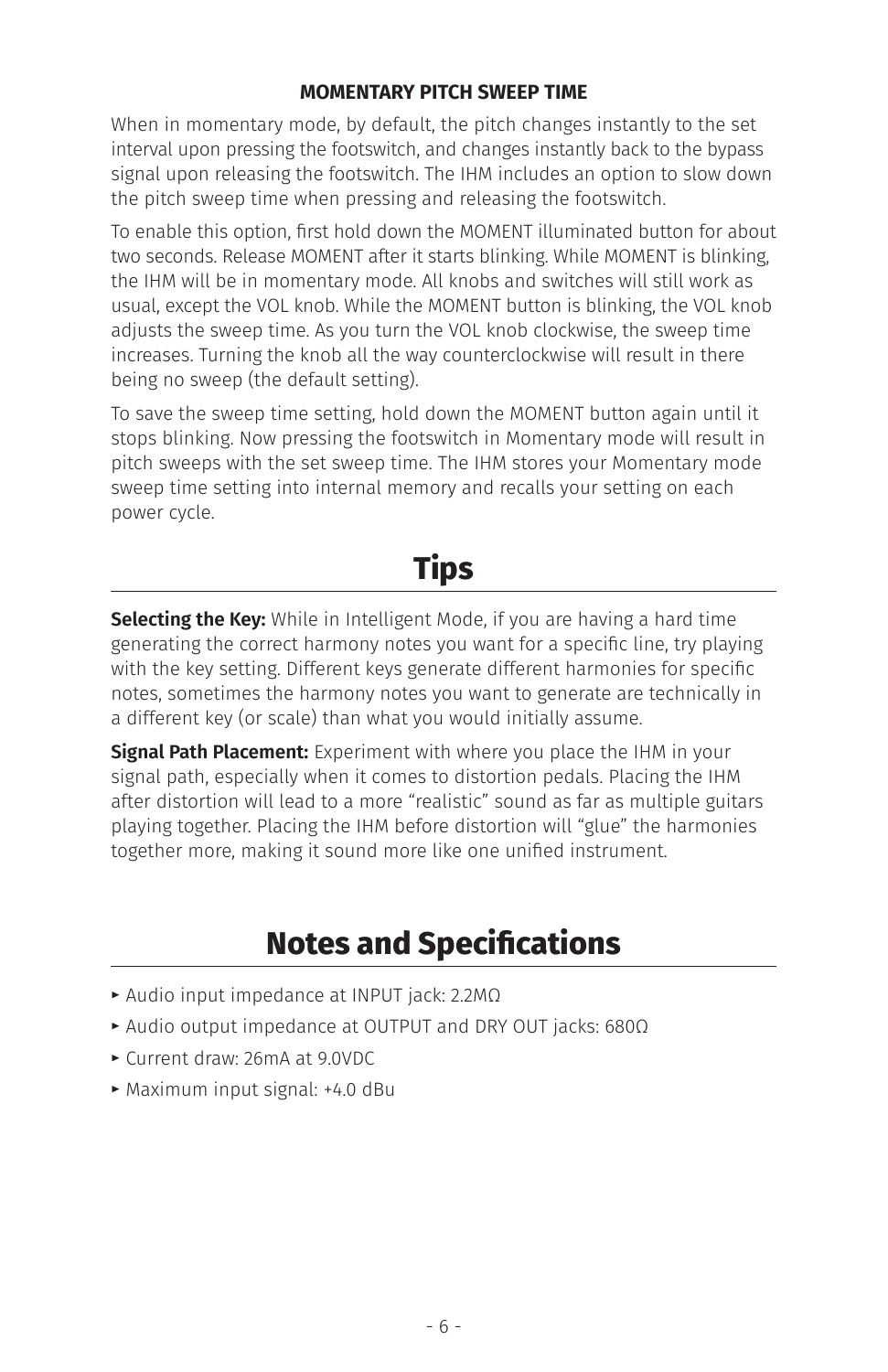## **MOMENTARY PITCH SWEEP TIME**

When in momentary mode, by default, the pitch changes instantly to the set interval upon pressing the footswitch, and changes instantly back to the bypass signal upon releasing the footswitch. The IHM includes an option to slow down the pitch sweep time when pressing and releasing the footswitch.

To enable this option, first hold down the MOMENT illuminated button for about two seconds. Release MOMENT after it starts blinking. While MOMENT is blinking, the IHM will be in momentary mode. All knobs and switches will still work as usual, except the VOL knob. While the MOMENT button is blinking, the VOL knob adjusts the sweep time. As you turn the VOL knob clockwise, the sweep time increases. Turning the knob all the way counterclockwise will result in there being no sweep (the default setting).

To save the sweep time setting, hold down the MOMENT button again until it stops blinking. Now pressing the footswitch in Momentary mode will result in pitch sweeps with the set sweep time. The IHM stores your Momentary mode sweep time setting into internal memory and recalls your setting on each power cycle.

## **Tips**

**Selecting the Key:** While in Intelligent Mode, if you are having a hard time generating the correct harmony notes you want for a specific line, try playing with the key setting. Different keys generate different harmonies for specific notes, sometimes the harmony notes you want to generate are technically in a different key (or scale) than what you would initially assume.

**Signal Path Placement:** Experiment with where you place the IHM in your signal path, especially when it comes to distortion pedals. Placing the IHM after distortion will lead to a more "realistic" sound as far as multiple guitars playing together. Placing the IHM before distortion will "glue" the harmonies together more, making it sound more like one unified instrument.

## **Notes and Specifications**

- **E** Audio input impedance at INPUT jack: 2.2MΩ
- **t** Audio output impedance at OUTPUT and DRY OUT jacks: 680Ω
- **t** Current draw: 26mA at 9.0VDC
- **t** Maximum input signal: +4.0 dBu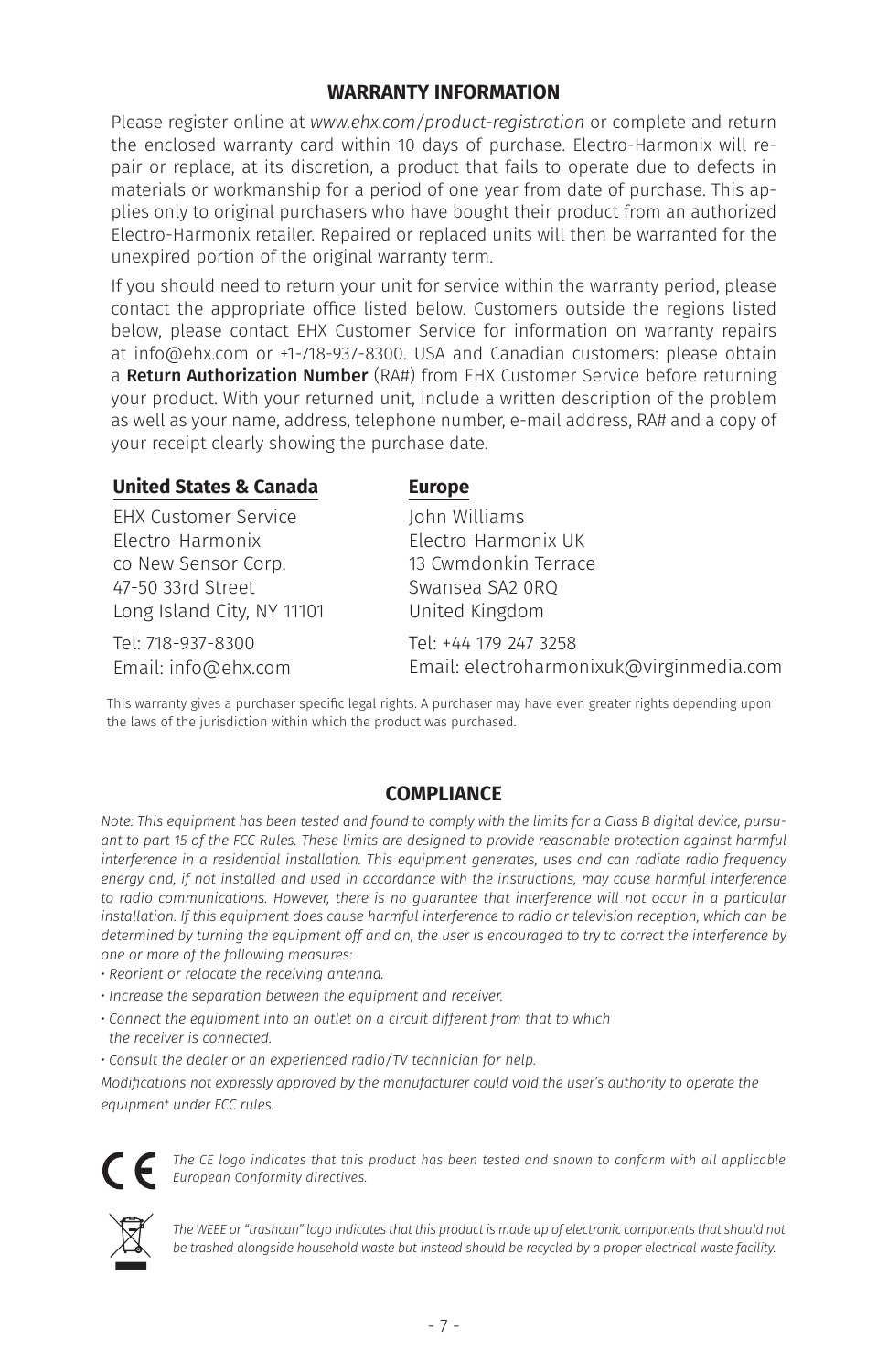## **WARRANTY INFORMATION**

Please register online at *www.ehx.com/product-registration* or complete and return the enclosed warranty card within 10 days of purchase. Electro-Harmonix will repair or replace, at its discretion, a product that fails to operate due to defects in materials or workmanship for a period of one year from date of purchase. This applies only to original purchasers who have bought their product from an authorized Electro-Harmonix retailer. Repaired or replaced units will then be warranted for the unexpired portion of the original warranty term.

If you should need to return your unit for service within the warranty period, please contact the appropriate office listed below. Customers outside the regions listed below, please contact EHX Customer Service for information on warranty repairs at info@ehx.com or +1-718-937-8300. USA and Canadian customers: please obtain a Return Authorization Number (RA#) from EHX Customer Service before returning your product. With your returned unit, include a written description of the problem as well as your name, address, telephone number, e-mail address, RA# and a copy of your receipt clearly showing the purchase date.

#### **United States & Canada**

EHX Customer Service Electro-Harmonix co New Sensor Corp. 47-50 33rd Street Long Island City, NY 11101

Tel: 718-937-8300 Email: info@ehx.com

#### **Europe**

John Williams Electro-Harmonix UK 13 Cwmdonkin Terrace Swansea SA2 0RQ United Kingdom

Tel: +44 179 247 3258 Email: electroharmonixuk@virginmedia.com

This warranty gives a purchaser specific legal rights. A purchaser may have even greater rights depending upon the laws of the jurisdiction within which the product was purchased.

## **COMPLIANCE**

*Note: This equipment has been tested and found to comply with the limits for a Class B digital device, pursuant to part 15 of the FCC Rules. These limits are designed to provide reasonable protection against harmful interference in a residential installation. This equipment generates, uses and can radiate radio frequency energy and, if not installed and used in accordance with the instructions, may cause harmful interference*  to radio communications. However, there is no quarantee that interference will not occur in a particular *installation. If this equipment does cause harmful interference to radio or television reception, which can be determined by turning the equipment off and on, the user is encouraged to try to correct the interference by one or more of the following measures:*

- *Reorient or relocate the receiving antenna.*
- *Increase the separation between the equipment and receiver.*
- *Connect the equipment into an outlet on a circuit different from that to which*
- *the receiver is connected.*
- *Consult the dealer or an experienced radio/TV technician for help.*

*Modifications not expressly approved by the manufacturer could void the user's authority to operate the equipment under FCC rules.*



*The CE logo indicates that this product has been tested and shown to conform with all applicable European Conformity directives.*



The WEEE or "trashcan" logo indicates that this product is made up of electronic components that should not *be trashed alongside household waste but instead should be recycled by a proper electrical waste facility.*